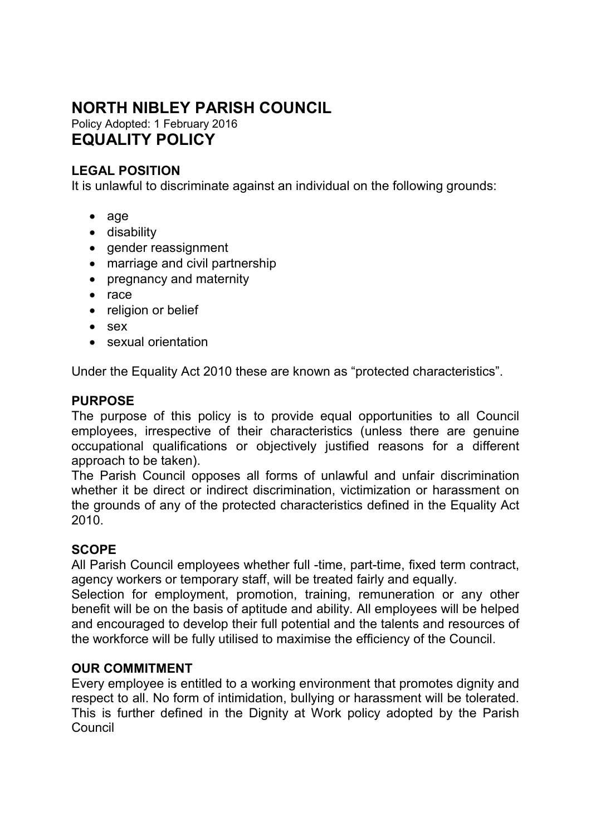# **NORTH NIBLEY PARISH COUNCIL**

Policy Adopted: 1 February 2016 **EQUALITY POLICY** 

## **LEGAL POSITION**

It is unlawful to discriminate against an individual on the following grounds:

- age
- disability
- gender reassignment
- marriage and civil partnership
- pregnancy and maternity
- race
- religion or belief
- sex
- sexual orientation

Under the Equality Act 2010 these are known as "protected characteristics".

#### **PURPOSE**

The purpose of this policy is to provide equal opportunities to all Council employees, irrespective of their characteristics (unless there are genuine occupational qualifications or objectively justified reasons for a different approach to be taken).

The Parish Council opposes all forms of unlawful and unfair discrimination whether it be direct or indirect discrimination, victimization or harassment on the grounds of any of the protected characteristics defined in the Equality Act 2010.

### **SCOPE**

All Parish Council employees whether full -time, part-time, fixed term contract, agency workers or temporary staff, will be treated fairly and equally.

Selection for employment, promotion, training, remuneration or any other benefit will be on the basis of aptitude and ability. All employees will be helped and encouraged to develop their full potential and the talents and resources of the workforce will be fully utilised to maximise the efficiency of the Council.

#### **OUR COMMITMENT**

Every employee is entitled to a working environment that promotes dignity and respect to all. No form of intimidation, bullying or harassment will be tolerated. This is further defined in the Dignity at Work policy adopted by the Parish Council